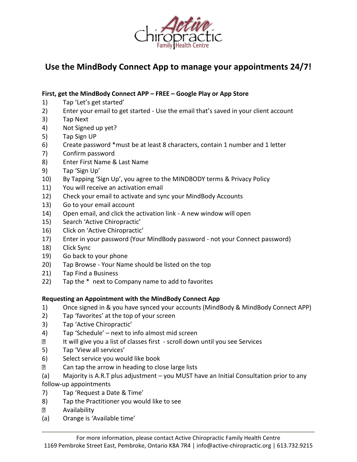

## **Use the MindBody Connect App to manage your appointments 24/7!**

## **First, get the MindBody Connect APP – FREE – Google Play or App Store**

- 1) Tap 'Let's get started'
- 2) Enter your email to get started Use the email that's saved in your client account
- 3) Tap Next
- 4) Not Signed up yet?
- 5) Tap Sign UP
- 6) Create password \*must be at least 8 characters, contain 1 number and 1 letter
- 7) Confirm password
- 8) Enter First Name & Last Name
- 9) Tap 'Sign Up'
- 10) By Tapping 'Sign Up', you agree to the MINDBODY terms & Privacy Policy
- 11) You will receive an activation email
- 12) Check your email to activate and sync your MindBody Accounts
- 13) Go to your email account
- 14) Open email, and click the activation link A new window will open
- 15) Search 'Active Chiropractic'
- 16) Click on 'Active Chiropractic'
- 17) Enter in your password (Your MindBody password not your Connect password)
- 18) Click Sync
- 19) Go back to your phone
- 20) Tap Browse Your Name should be listed on the top
- 21) Tap Find a Business
- 22) Tap the \* next to Company name to add to favorites

## **Requesting an Appointment with the MindBody Connect App**

- 1) Once signed in & you have synced your accounts (MindBody & MindBody Connect APP)
- 2) Tap 'favorites' at the top of your screen
- 3) Tap 'Active Chiropractic'
- 4) Tap 'Schedule' next to info almost mid screen
- $\overline{2}$ It will give you a list of classes first - scroll down until you see Services
- 5) Tap 'View all services'
- 6) Select service you would like book
- $\Box$ Can tap the arrow in heading to close large lists
- (a) Majority is A.R.T plus adjustment you MUST have an Initial Consultation prior to any

follow-up appointments

- 7) Tap 'Request a Date & Time'
- 8) Tap the Practitioner you would like to see
- $\overline{2}$ Availability
- (a) Orange is 'Available time'